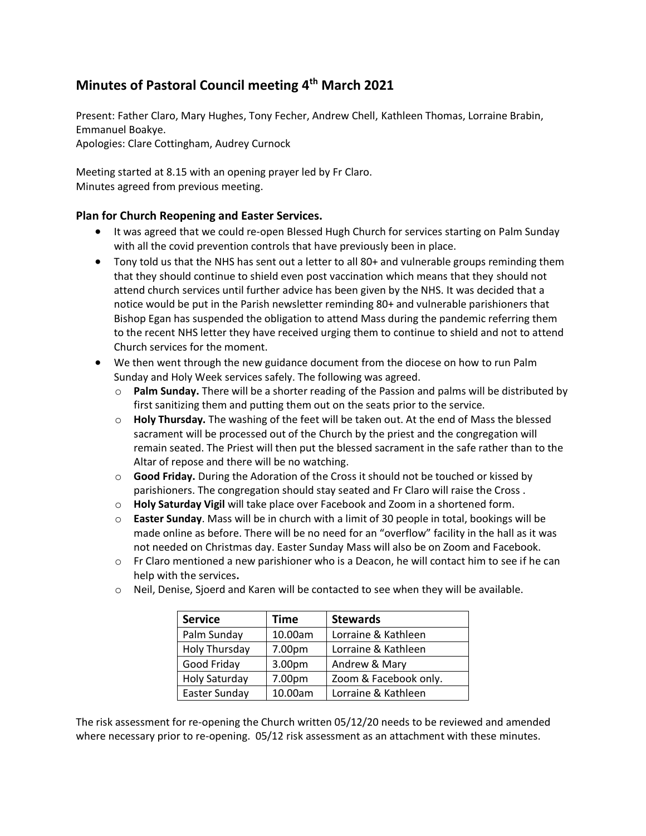## **Minutes of Pastoral Council meeting 4 th March 2021**

Present: Father Claro, Mary Hughes, Tony Fecher, Andrew Chell, Kathleen Thomas, Lorraine Brabin, Emmanuel Boakye. Apologies: Clare Cottingham, Audrey Curnock

Meeting started at 8.15 with an opening prayer led by Fr Claro. Minutes agreed from previous meeting.

## **Plan for Church Reopening and Easter Services.**

- It was agreed that we could re-open Blessed Hugh Church for services starting on Palm Sunday with all the covid prevention controls that have previously been in place.
- Tony told us that the NHS has sent out a letter to all 80+ and vulnerable groups reminding them that they should continue to shield even post vaccination which means that they should not attend church services until further advice has been given by the NHS. It was decided that a notice would be put in the Parish newsletter reminding 80+ and vulnerable parishioners that Bishop Egan has suspended the obligation to attend Mass during the pandemic referring them to the recent NHS letter they have received urging them to continue to shield and not to attend Church services for the moment.
- We then went through the new guidance document from the diocese on how to run Palm Sunday and Holy Week services safely. The following was agreed.
	- o **Palm Sunday.** There will be a shorter reading of the Passion and palms will be distributed by first sanitizing them and putting them out on the seats prior to the service.
	- o **Holy Thursday.** The washing of the feet will be taken out. At the end of Mass the blessed sacrament will be processed out of the Church by the priest and the congregation will remain seated. The Priest will then put the blessed sacrament in the safe rather than to the Altar of repose and there will be no watching.
	- o **Good Friday.** During the Adoration of the Cross it should not be touched or kissed by parishioners. The congregation should stay seated and Fr Claro will raise the Cross .
	- o **Holy Saturday Vigil** will take place over Facebook and Zoom in a shortened form.
	- o **Easter Sunday**. Mass will be in church with a limit of 30 people in total, bookings will be made online as before. There will be no need for an "overflow" facility in the hall as it was not needed on Christmas day. Easter Sunday Mass will also be on Zoom and Facebook.
	- $\circ$  Fr Claro mentioned a new parishioner who is a Deacon, he will contact him to see if he can help with the services**.**
	- o Neil, Denise, Sjoerd and Karen will be contacted to see when they will be available.

| <b>Service</b>       | <b>Time</b> | <b>Stewards</b>       |
|----------------------|-------------|-----------------------|
| Palm Sunday          | 10.00am     | Lorraine & Kathleen   |
| Holy Thursday        | 7.00pm      | Lorraine & Kathleen   |
| Good Friday          | 3.00pm      | Andrew & Mary         |
| <b>Holy Saturday</b> | 7.00pm      | Zoom & Facebook only. |
| Easter Sunday        | 10.00am     | Lorraine & Kathleen   |

The risk assessment for re-opening the Church written 05/12/20 needs to be reviewed and amended where necessary prior to re-opening. 05/12 risk assessment as an attachment with these minutes.